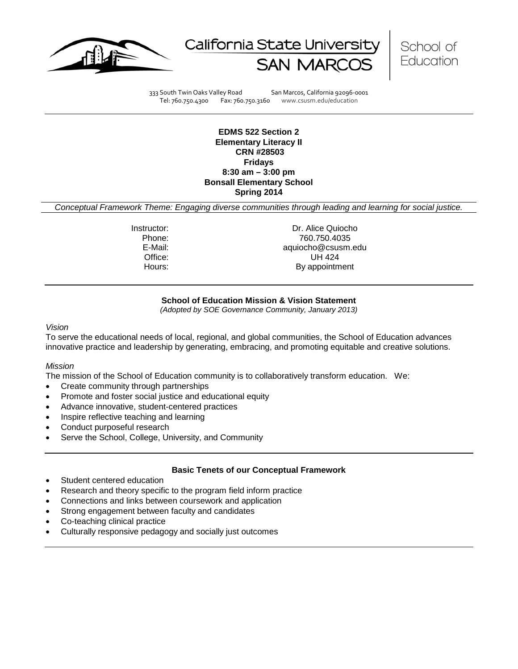





333 South Twin Oaks Valley Road San Marcos, California 92096-0001 Tel: 760.750.4300 Fax: 760.750.3160 www.csusm.edu/education

**EDMS 522 Section 2 Elementary Literacy II CRN #28503 Fridays 8:30 am – 3:00 pm Bonsall Elementary School Spring 2014**

*Conceptual Framework Theme: Engaging diverse communities through leading and learning for social justice.*

Instructor: Dr. Alice Quiocho<br>Phone: 260.750.4035 Phone: 760.750.4035 E-Mail: aquiocho@csusm.edu Office: UH 424 Hours: By appointment

## **School of Education Mission & Vision Statement**

*(Adopted by SOE Governance Community, January 2013)*

*Vision*

To serve the educational needs of local, regional, and global communities, the School of Education advances innovative practice and leadership by generating, embracing, and promoting equitable and creative solutions.

#### *Mission*

The mission of the School of Education community is to collaboratively transform education. We:

- Create community through partnerships
- Promote and foster social justice and educational equity
- Advance innovative, student-centered practices
- Inspire reflective teaching and learning
- Conduct purposeful research
- Serve the School, College, University, and Community

#### **Basic Tenets of our Conceptual Framework**

- Student centered education
- Research and theory specific to the program field inform practice
- Connections and links between coursework and application
- Strong engagement between faculty and candidates
- Co-teaching clinical practice
- Culturally responsive pedagogy and socially just outcomes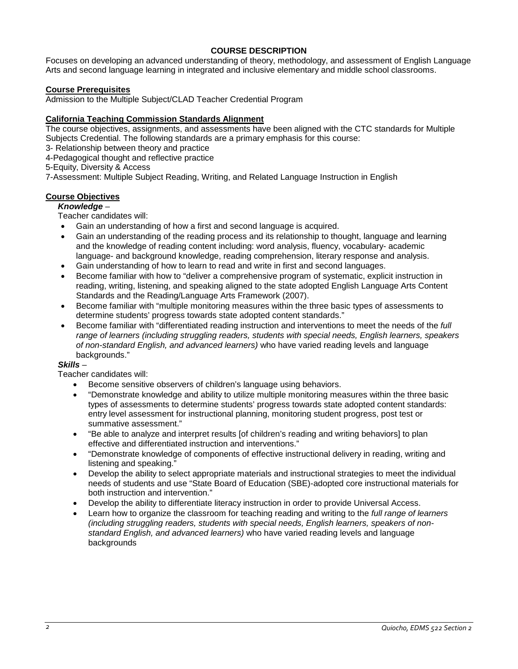# **COURSE DESCRIPTION**

Focuses on developing an advanced understanding of theory, methodology, and assessment of English Language Arts and second language learning in integrated and inclusive elementary and middle school classrooms.

## **Course Prerequisites**

Admission to the Multiple Subject/CLAD Teacher Credential Program

## **California Teaching Commission Standards Alignment**

The course objectives, assignments, and assessments have been aligned with the CTC standards for Multiple Subjects Credential. The following standards are a primary emphasis for this course:

3- Relationship between theory and practice

4-Pedagogical thought and reflective practice

5-Equity, Diversity & Access

7-Assessment: Multiple Subject Reading, Writing, and Related Language Instruction in English

# **Course Objectives**

#### *Knowledge* –

Teacher candidates will:

- Gain an understanding of how a first and second language is acquired.
- Gain an understanding of the reading process and its relationship to thought, language and learning and the knowledge of reading content including: word analysis, fluency, vocabulary- academic language- and background knowledge, reading comprehension, literary response and analysis.
- Gain understanding of how to learn to read and write in first and second languages.
- Become familiar with how to "deliver a comprehensive program of systematic, explicit instruction in reading, writing, listening, and speaking aligned to the state adopted English Language Arts Content Standards and the Reading/Language Arts Framework (2007).
- Become familiar with "multiple monitoring measures within the three basic types of assessments to determine students' progress towards state adopted content standards."
- Become familiar with "differentiated reading instruction and interventions to meet the needs of the *full range of learners (including struggling readers, students with special needs, English learners, speakers of non-standard English, and advanced learners)* who have varied reading levels and language backgrounds."

#### *Skills* –

Teacher candidates will:

- Become sensitive observers of children's language using behaviors.
- "Demonstrate knowledge and ability to utilize multiple monitoring measures within the three basic types of assessments to determine students' progress towards state adopted content standards: entry level assessment for instructional planning, monitoring student progress, post test or summative assessment."
- "Be able to analyze and interpret results [of children's reading and writing behaviors] to plan effective and differentiated instruction and interventions."
- "Demonstrate knowledge of components of effective instructional delivery in reading, writing and listening and speaking."
- Develop the ability to select appropriate materials and instructional strategies to meet the individual needs of students and use "State Board of Education (SBE)-adopted core instructional materials for both instruction and intervention."
- Develop the ability to differentiate literacy instruction in order to provide Universal Access.
- Learn how to organize the classroom for teaching reading and writing to the *full range of learners (including struggling readers, students with special needs, English learners, speakers of nonstandard English, and advanced learners)* who have varied reading levels and language backgrounds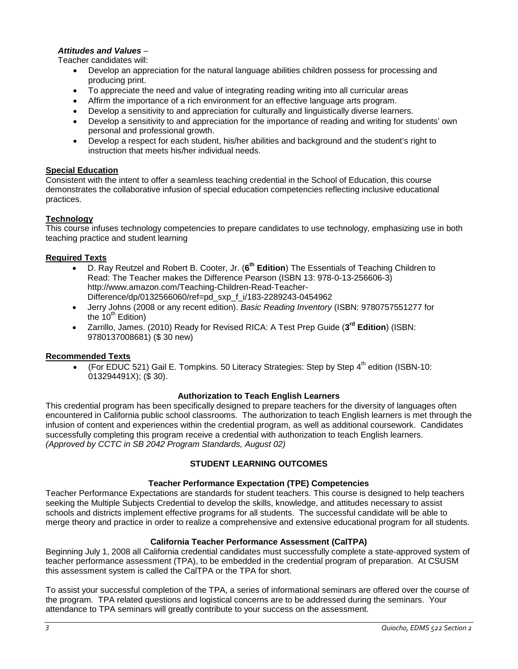# *Attitudes and Values* –

Teacher candidates will:

- Develop an appreciation for the natural language abilities children possess for processing and producing print.
- To appreciate the need and value of integrating reading writing into all curricular areas
- Affirm the importance of a rich environment for an effective language arts program.
- Develop a sensitivity to and appreciation for culturally and linguistically diverse learners.
- Develop a sensitivity to and appreciation for the importance of reading and writing for students' own personal and professional growth.
- Develop a respect for each student, his/her abilities and background and the student's right to instruction that meets his/her individual needs.

## **Special Education**

Consistent with the intent to offer a seamless teaching credential in the School of Education, this course demonstrates the collaborative infusion of special education competencies reflecting inclusive educational practices.

## **Technology**

This course infuses technology competencies to prepare candidates to use technology, emphasizing use in both teaching practice and student learning

## **Required Texts**

- D. Ray Reutzel and Robert B. Cooter, Jr. (**6th Edition**) The Essentials of Teaching Children to Read: The Teacher makes the Difference Pearson (ISBN 13: 978-0-13-256606-3) http://www.amazon.com/Teaching-Children-Read-Teacher-Difference/dp/0132566060/ref=pd\_sxp\_f\_i/183-2289243-0454962
- Jerry Johns (2008 or any recent edition). *Basic Reading Inventory* (ISBN: 9780757551277 for the  $10<sup>th</sup>$  Edition)
- Zarrillo, James. (2010) Ready for Revised RICA: A Test Prep Guide (**3rd Edition**) (ISBN: 9780137008681) (\$ 30 new)

#### **Recommended Texts**

• (For EDUC 521) Gail E. Tompkins. 50 Literacy Strategies: Step by Step  $4^{\text{th}}$  edition (ISBN-10: 013294491X); (\$ 30).

#### **Authorization to Teach English Learners**

This credential program has been specifically designed to prepare teachers for the diversity of languages often encountered in California public school classrooms. The authorization to teach English learners is met through the infusion of content and experiences within the credential program, as well as additional coursework. Candidates successfully completing this program receive a credential with authorization to teach English learners. *(Approved by CCTC in SB 2042 Program Standards, August 02)*

# **STUDENT LEARNING OUTCOMES**

#### **Teacher Performance Expectation (TPE) Competencies**

Teacher Performance Expectations are standards for student teachers. This course is designed to help teachers seeking the Multiple Subjects Credential to develop the skills, knowledge, and attitudes necessary to assist schools and districts implement effective programs for all students. The successful candidate will be able to merge theory and practice in order to realize a comprehensive and extensive educational program for all students.

# **California Teacher Performance Assessment (CalTPA)**

Beginning July 1, 2008 all California credential candidates must successfully complete a state-approved system of teacher performance assessment (TPA), to be embedded in the credential program of preparation. At CSUSM this assessment system is called the CalTPA or the TPA for short.

To assist your successful completion of the TPA, a series of informational seminars are offered over the course of the program. TPA related questions and logistical concerns are to be addressed during the seminars. Your attendance to TPA seminars will greatly contribute to your success on the assessment.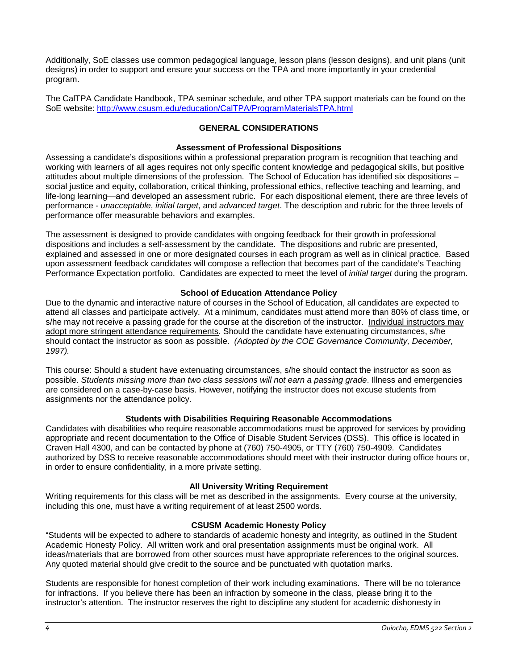Additionally, SoE classes use common pedagogical language, lesson plans (lesson designs), and unit plans (unit designs) in order to support and ensure your success on the TPA and more importantly in your credential program.

The CalTPA Candidate Handbook, TPA seminar schedule, and other TPA support materials can be found on the SoE website: <http://www.csusm.edu/education/CalTPA/ProgramMaterialsTPA.html>

# **GENERAL CONSIDERATIONS**

## **Assessment of Professional Dispositions**

Assessing a candidate's dispositions within a professional preparation program is recognition that teaching and working with learners of all ages requires not only specific content knowledge and pedagogical skills, but positive attitudes about multiple dimensions of the profession. The School of Education has identified six dispositions – social justice and equity, collaboration, critical thinking, professional ethics, reflective teaching and learning, and life-long learning—and developed an assessment rubric. For each dispositional element, there are three levels of performance - *unacceptable*, *initial target*, and *advanced target*. The description and rubric for the three levels of performance offer measurable behaviors and examples.

The assessment is designed to provide candidates with ongoing feedback for their growth in professional dispositions and includes a self-assessment by the candidate. The dispositions and rubric are presented, explained and assessed in one or more designated courses in each program as well as in clinical practice. Based upon assessment feedback candidates will compose a reflection that becomes part of the candidate's Teaching Performance Expectation portfolio. Candidates are expected to meet the level of *initial target* during the program.

## **School of Education Attendance Policy**

Due to the dynamic and interactive nature of courses in the School of Education, all candidates are expected to attend all classes and participate actively. At a minimum, candidates must attend more than 80% of class time, or s/he may not receive a passing grade for the course at the discretion of the instructor. Individual instructors may adopt more stringent attendance requirements. Should the candidate have extenuating circumstances, s/he should contact the instructor as soon as possible. *(Adopted by the COE Governance Community, December, 1997).*

This course: Should a student have extenuating circumstances, s/he should contact the instructor as soon as possible. *Students missing more than two class sessions will not earn a passing grade*. Illness and emergencies are considered on a case-by-case basis. However, notifying the instructor does not excuse students from assignments nor the attendance policy.

#### **Students with Disabilities Requiring Reasonable Accommodations**

Candidates with disabilities who require reasonable accommodations must be approved for services by providing appropriate and recent documentation to the Office of Disable Student Services (DSS). This office is located in Craven Hall 4300, and can be contacted by phone at (760) 750-4905, or TTY (760) 750-4909. Candidates authorized by DSS to receive reasonable accommodations should meet with their instructor during office hours or, in order to ensure confidentiality, in a more private setting.

#### **All University Writing Requirement**

Writing requirements for this class will be met as described in the assignments. Every course at the university, including this one, must have a writing requirement of at least 2500 words.

#### **CSUSM Academic Honesty Policy**

"Students will be expected to adhere to standards of academic honesty and integrity, as outlined in the Student Academic Honesty Policy. All written work and oral presentation assignments must be original work. All ideas/materials that are borrowed from other sources must have appropriate references to the original sources. Any quoted material should give credit to the source and be punctuated with quotation marks.

Students are responsible for honest completion of their work including examinations. There will be no tolerance for infractions. If you believe there has been an infraction by someone in the class, please bring it to the instructor's attention. The instructor reserves the right to discipline any student for academic dishonesty in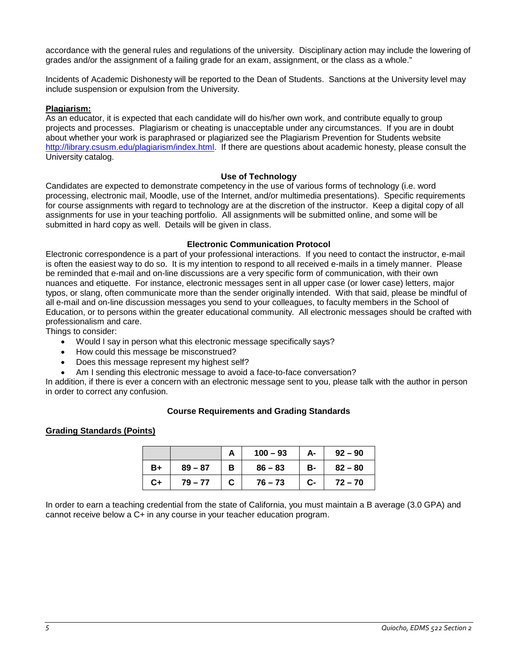accordance with the general rules and regulations of the university. Disciplinary action may include the lowering of grades and/or the assignment of a failing grade for an exam, assignment, or the class as a whole."

Incidents of Academic Dishonesty will be reported to the Dean of Students. Sanctions at the University level may include suspension or expulsion from the University.

## **Plagiarism:**

As an educator, it is expected that each candidate will do his/her own work, and contribute equally to group projects and processes. Plagiarism or cheating is unacceptable under any circumstances. If you are in doubt about whether your work is paraphrased or plagiarized see the Plagiarism Prevention for Students website [http://library.csusm.edu/plagiarism/index.html.](http://library.csusm.edu/plagiarism/index.html) If there are questions about academic honesty, please consult the University catalog.

#### **Use of Technology**

Candidates are expected to demonstrate competency in the use of various forms of technology (i.e. word processing, electronic mail, Moodle, use of the Internet, and/or multimedia presentations). Specific requirements for course assignments with regard to technology are at the discretion of the instructor. Keep a digital copy of all assignments for use in your teaching portfolio. All assignments will be submitted online, and some will be submitted in hard copy as well. Details will be given in class.

#### **Electronic Communication Protocol**

Electronic correspondence is a part of your professional interactions. If you need to contact the instructor, e-mail is often the easiest way to do so. It is my intention to respond to all received e-mails in a timely manner. Please be reminded that e-mail and on-line discussions are a very specific form of communication, with their own nuances and etiquette. For instance, electronic messages sent in all upper case (or lower case) letters, major typos, or slang, often communicate more than the sender originally intended. With that said, please be mindful of all e-mail and on-line discussion messages you send to your colleagues, to faculty members in the School of Education, or to persons within the greater educational community. All electronic messages should be crafted with professionalism and care.

Things to consider:

- Would I say in person what this electronic message specifically says?
- How could this message be misconstrued?
- Does this message represent my highest self?
- Am I sending this electronic message to avoid a face-to-face conversation?

In addition, if there is ever a concern with an electronic message sent to you, please talk with the author in person in order to correct any confusion.

#### **Course Requirements and Grading Standards**

#### **Grading Standards (Points)**

|    |           | $100 - 93$ | А- | $92 - 90$ |
|----|-----------|------------|----|-----------|
| B+ | $89 - 87$ | $86 - 83$  | в- | $82 - 80$ |
| C+ | $79 - 77$ | $76 - 73$  | C- | $72 - 70$ |

In order to earn a teaching credential from the state of California, you must maintain a B average (3.0 GPA) and cannot receive below a C+ in any course in your teacher education program.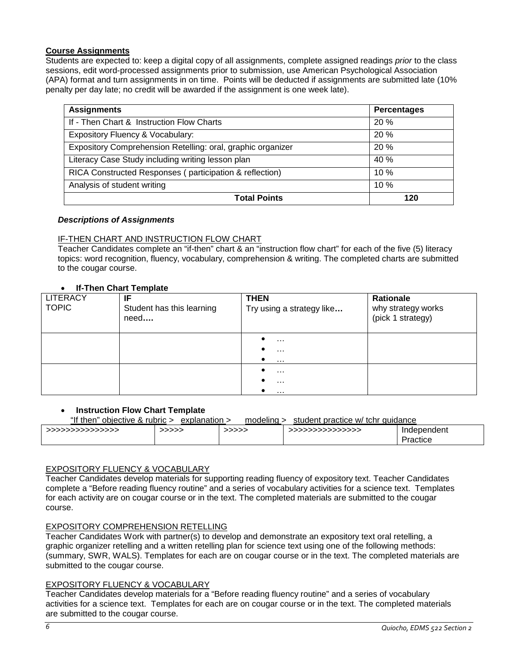# **Course Assignments**

Students are expected to: keep a digital copy of all assignments, complete assigned readings *prior* to the class sessions, edit word-processed assignments prior to submission, use American Psychological Association (APA) format and turn assignments in on time. Points will be deducted if assignments are submitted late (10% penalty per day late; no credit will be awarded if the assignment is one week late).

| <b>Assignments</b>                                          | <b>Percentages</b> |
|-------------------------------------------------------------|--------------------|
| If - Then Chart & Instruction Flow Charts                   | 20%                |
| Expository Fluency & Vocabulary:                            | 20%                |
| Expository Comprehension Retelling: oral, graphic organizer | 20%                |
| Literacy Case Study including writing lesson plan           | 40 %               |
| RICA Constructed Responses (participation & reflection)     | 10%                |
| Analysis of student writing                                 | 10%                |
| <b>Total Points</b>                                         | 120                |

#### *Descriptions of Assignments*

## IF-THEN CHART AND INSTRUCTION FLOW CHART

Teacher Candidates complete an "if-then" chart & an "instruction flow chart" for each of the five (5) literacy topics: word recognition, fluency, vocabulary, comprehension & writing. The completed charts are submitted to the cougar course.

# • **If-Then Chart Template**

| <b>LITERACY</b><br><b>TOPIC</b> | IF<br>Student has this learning<br>need | <b>THEN</b><br>Try using a strategy like | Rationale<br>why strategy works<br>(pick 1 strategy) |
|---------------------------------|-----------------------------------------|------------------------------------------|------------------------------------------------------|
|                                 |                                         | $\cdots$<br>$\cdots$<br>$\ldots$         |                                                      |
|                                 |                                         | $\ldots$<br>$\cdots$<br>$\cdots$         |                                                      |

#### **Instruction Flow Chart Template**

"If then" objective & rubric > explanation > modeling > student practice w/ tchr guidance

|                   | ------------------ | .     |                   |                         |
|-------------------|--------------------|-------|-------------------|-------------------------|
| >>>>>>>>>>>>>>>>> | >>>>>              | >>>>> | >>>>>>>>>>>>>>>>> | Independent<br>Practice |
|                   |                    |       |                   |                         |

# EXPOSITORY FLUENCY & VOCABULARY

Teacher Candidates develop materials for supporting reading fluency of expository text. Teacher Candidates complete a "Before reading fluency routine" and a series of vocabulary activities for a science text. Templates for each activity are on cougar course or in the text. The completed materials are submitted to the cougar course.

#### EXPOSITORY COMPREHENSION RETELLING

Teacher Candidates Work with partner(s) to develop and demonstrate an expository text oral retelling, a graphic organizer retelling and a written retelling plan for science text using one of the following methods: (summary, SWR, WALS). Templates for each are on cougar course or in the text. The completed materials are submitted to the cougar course.

#### EXPOSITORY FLUENCY & VOCABULARY

Teacher Candidates develop materials for a "Before reading fluency routine" and a series of vocabulary activities for a science text. Templates for each are on cougar course or in the text. The completed materials are submitted to the cougar course.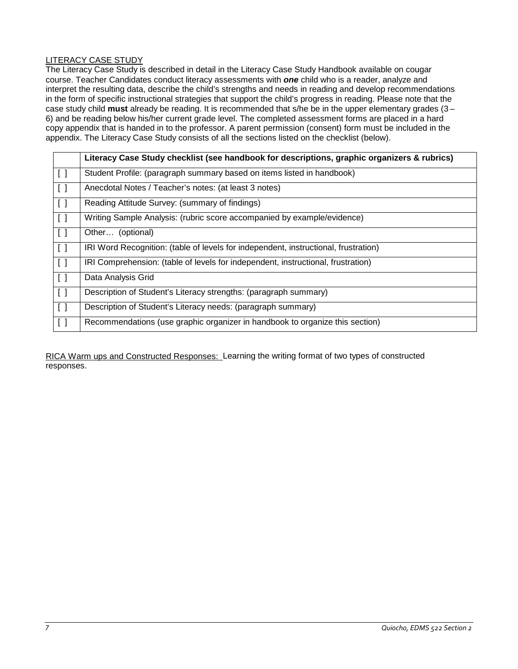# LITERACY CASE STUDY

The Literacy Case Study is described in detail in the Literacy Case Study Handbook available on cougar course. Teacher Candidates conduct literacy assessments with *one* child who is a reader, analyze and interpret the resulting data, describe the child's strengths and needs in reading and develop recommendations in the form of specific instructional strategies that support the child's progress in reading. Please note that the case study child **must** already be reading. It is recommended that s/he be in the upper elementary grades (3 – 6) and be reading below his/her current grade level. The completed assessment forms are placed in a hard copy appendix that is handed in to the professor. A parent permission (consent) form must be included in the appendix. The Literacy Case Study consists of all the sections listed on the checklist (below).

|                                 | Literacy Case Study checklist (see handbook for descriptions, graphic organizers & rubrics) |
|---------------------------------|---------------------------------------------------------------------------------------------|
| $\lfloor \cdot \rfloor$         | Student Profile: (paragraph summary based on items listed in handbook)                      |
| $\lfloor \lfloor \rfloor$       | Anecdotal Notes / Teacher's notes: (at least 3 notes)                                       |
| $\lfloor \lfloor \rfloor$       | Reading Attitude Survey: (summary of findings)                                              |
| $\lfloor \lfloor \rfloor$       | Writing Sample Analysis: (rubric score accompanied by example/evidence)                     |
| $\lfloor \lfloor \rfloor$       | Other (optional)                                                                            |
| $\overline{1}$                  | IRI Word Recognition: (table of levels for independent, instructional, frustration)         |
| $\overline{1}$                  | IRI Comprehension: (table of levels for independent, instructional, frustration)            |
| $\lfloor \cdot \rfloor$         | Data Analysis Grid                                                                          |
| $\lceil$                        | Description of Student's Literacy strengths: (paragraph summary)                            |
| $\Box$                          | Description of Student's Literacy needs: (paragraph summary)                                |
| $\begin{bmatrix} \end{bmatrix}$ | Recommendations (use graphic organizer in handbook to organize this section)                |

RICA Warm ups and Constructed Responses: Learning the writing format of two types of constructed responses.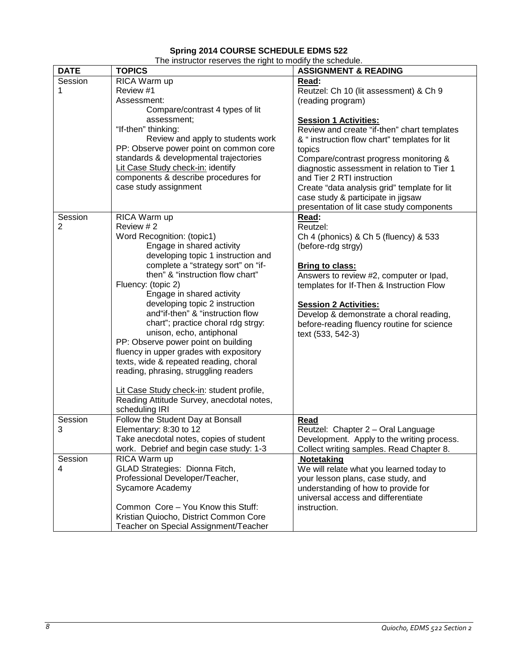# **Spring 2014 COURSE SCHEDULE EDMS 522**

| The instructor reserves the right to modify the schedule. |  |
|-----------------------------------------------------------|--|
|-----------------------------------------------------------|--|

| <b>DATE</b>    | <b>TOPICS</b>                             | <b>ASSIGNMENT &amp; READING</b>                                         |
|----------------|-------------------------------------------|-------------------------------------------------------------------------|
| Session        | RICA Warm up                              | Read:                                                                   |
| 1              | Review #1                                 | Reutzel: Ch 10 (lit assessment) & Ch 9                                  |
|                | Assessment:                               | (reading program)                                                       |
|                | Compare/contrast 4 types of lit           |                                                                         |
|                | assessment;                               | <b>Session 1 Activities:</b>                                            |
|                | "If-then" thinking:                       | Review and create "if-then" chart templates                             |
|                | Review and apply to students work         | & " instruction flow chart" templates for lit                           |
|                | PP: Observe power point on common core    | topics                                                                  |
|                | standards & developmental trajectories    | Compare/contrast progress monitoring &                                  |
|                | Lit Case Study check-in: identify         | diagnostic assessment in relation to Tier 1                             |
|                | components & describe procedures for      | and Tier 2 RTI instruction                                              |
|                | case study assignment                     | Create "data analysis grid" template for lit                            |
|                |                                           | case study & participate in jigsaw                                      |
|                |                                           | presentation of lit case study components                               |
| Session        | RICA Warm up                              | Read:                                                                   |
| $\overline{2}$ | Review #2                                 | Reutzel:                                                                |
|                | Word Recognition: (topic1)                | Ch 4 (phonics) & Ch 5 (fluency) & 533                                   |
|                | Engage in shared activity                 | (before-rdg strgy)                                                      |
|                | developing topic 1 instruction and        |                                                                         |
|                | complete a "strategy sort" on "if-        | <b>Bring to class:</b>                                                  |
|                | then" & "instruction flow chart"          | Answers to review #2, computer or lpad,                                 |
|                | Fluency: (topic 2)                        | templates for If-Then & Instruction Flow                                |
|                | Engage in shared activity                 |                                                                         |
|                | developing topic 2 instruction            |                                                                         |
|                | and"if-then" & "instruction flow          | <b>Session 2 Activities:</b><br>Develop & demonstrate a choral reading, |
|                | chart"; practice choral rdg strgy:        |                                                                         |
|                | unison, echo, antiphonal                  | before-reading fluency routine for science<br>text (533, 542-3)         |
|                | PP: Observe power point on building       |                                                                         |
|                | fluency in upper grades with expository   |                                                                         |
|                | texts, wide & repeated reading, choral    |                                                                         |
|                | reading, phrasing, struggling readers     |                                                                         |
|                |                                           |                                                                         |
|                | Lit Case Study check-in: student profile, |                                                                         |
|                | Reading Attitude Survey, anecdotal notes, |                                                                         |
|                | scheduling IRI                            |                                                                         |
| Session        | Follow the Student Day at Bonsall         | Read                                                                    |
| 3              | Elementary: 8:30 to 12                    | Reutzel: Chapter 2 - Oral Language                                      |
|                | Take anecdotal notes, copies of student   | Development. Apply to the writing process.                              |
|                | work. Debrief and begin case study: 1-3   |                                                                         |
| Session        | RICA Warm up                              | Collect writing samples. Read Chapter 8.                                |
| 4              | GLAD Strategies: Dionna Fitch,            | Notetaking                                                              |
|                |                                           | We will relate what you learned today to                                |
|                | Professional Developer/Teacher,           | your lesson plans, case study, and                                      |
|                | Sycamore Academy                          | understanding of how to provide for                                     |
|                |                                           | universal access and differentiate                                      |
|                | Common Core - You Know this Stuff:        | instruction.                                                            |
|                | Kristian Quiocho, District Common Core    |                                                                         |
|                | Teacher on Special Assignment/Teacher     |                                                                         |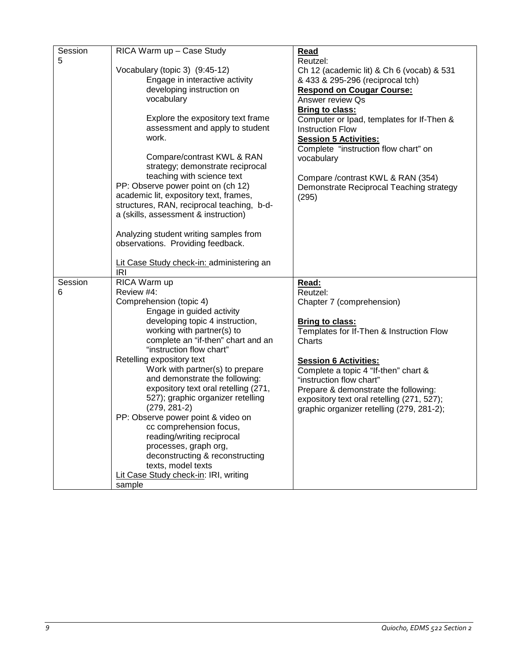| Session | RICA Warm up - Case Study                  | Read                                       |
|---------|--------------------------------------------|--------------------------------------------|
| 5       |                                            |                                            |
|         |                                            | Reutzel:                                   |
|         | Vocabulary (topic 3) (9:45-12)             | Ch 12 (academic lit) & Ch 6 (vocab) & 531  |
|         | Engage in interactive activity             | & 433 & 295-296 (reciprocal tch)           |
|         | developing instruction on                  | <b>Respond on Cougar Course:</b>           |
|         | vocabulary                                 | Answer review Os                           |
|         |                                            | <b>Bring to class:</b>                     |
|         | Explore the expository text frame          | Computer or Ipad, templates for If-Then &  |
|         | assessment and apply to student            | <b>Instruction Flow</b>                    |
|         | work.                                      | <b>Session 5 Activities:</b>               |
|         |                                            | Complete "instruction flow chart" on       |
|         | Compare/contrast KWL & RAN                 | vocabulary                                 |
|         | strategy; demonstrate reciprocal           |                                            |
|         | teaching with science text                 | Compare / contrast KWL & RAN (354)         |
|         | PP: Observe power point on (ch 12)         |                                            |
|         | academic lit, expository text, frames,     | Demonstrate Reciprocal Teaching strategy   |
|         | structures, RAN, reciprocal teaching, b-d- | (295)                                      |
|         | a (skills, assessment & instruction)       |                                            |
|         |                                            |                                            |
|         | Analyzing student writing samples from     |                                            |
|         | observations. Providing feedback.          |                                            |
|         |                                            |                                            |
|         | Lit Case Study check-in: administering an  |                                            |
|         | <b>IRI</b>                                 |                                            |
| Session | RICA Warm up                               | Read:                                      |
| 6       | Review #4:                                 | Reutzel:                                   |
|         | Comprehension (topic 4)                    | Chapter 7 (comprehension)                  |
|         | Engage in guided activity                  |                                            |
|         | developing topic 4 instruction,            |                                            |
|         | working with partner(s) to                 | <b>Bring to class:</b>                     |
|         |                                            | Templates for If-Then & Instruction Flow   |
|         | complete an "if-then" chart and an         | Charts                                     |
|         | "instruction flow chart"                   |                                            |
|         | Retelling expository text                  | <b>Session 6 Activities:</b>               |
|         | Work with partner(s) to prepare            | Complete a topic 4 "If-then" chart &       |
|         | and demonstrate the following:             | "instruction flow chart"                   |
|         | expository text oral retelling (271,       | Prepare & demonstrate the following:       |
|         | 527); graphic organizer retelling          | expository text oral retelling (271, 527); |
|         | $(279, 281-2)$                             | graphic organizer retelling (279, 281-2);  |
|         | PP: Observe power point & video on         |                                            |
|         | cc comprehension focus,                    |                                            |
|         | reading/writing reciprocal                 |                                            |
|         | processes, graph org,                      |                                            |
|         | deconstructing & reconstructing            |                                            |
|         | texts, model texts                         |                                            |
|         | Lit Case Study check-in: IRI, writing      |                                            |
|         |                                            |                                            |
|         | sample                                     |                                            |